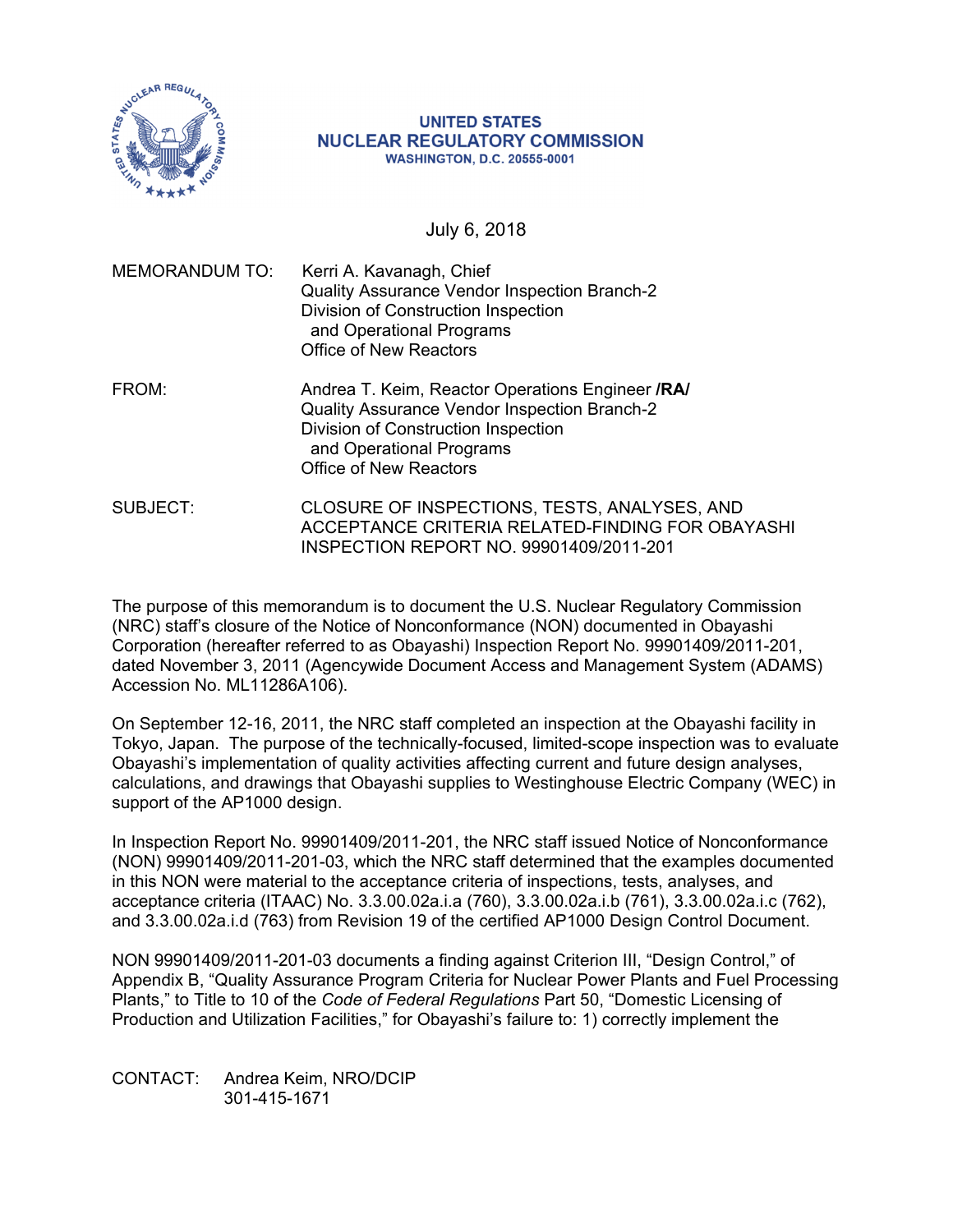

#### **UNITED STATES NUCLEAR REGULATORY COMMISSION WASHINGTON, D.C. 20555-0001**

July 6, 2018

| <b>MEMORANDUM TO:</b> | Kerri A. Kavanagh, Chief<br>Quality Assurance Vendor Inspection Branch-2<br>Division of Construction Inspection<br>and Operational Programs<br><b>Office of New Reactors</b>                         |
|-----------------------|------------------------------------------------------------------------------------------------------------------------------------------------------------------------------------------------------|
| FROM:                 | Andrea T. Keim, Reactor Operations Engineer /RA/<br>Quality Assurance Vendor Inspection Branch-2<br>Division of Construction Inspection<br>and Operational Programs<br><b>Office of New Reactors</b> |

SUBJECT: CLOSURE OF INSPECTIONS, TESTS, ANALYSES, AND ACCEPTANCE CRITERIA RELATED-FINDING FOR OBAYASHI INSPECTION REPORT NO. 99901409/2011-201

The purpose of this memorandum is to document the U.S. Nuclear Regulatory Commission (NRC) staff's closure of the Notice of Nonconformance (NON) documented in Obayashi Corporation (hereafter referred to as Obayashi) Inspection Report No. 99901409/2011-201, dated November 3, 2011 (Agencywide Document Access and Management System (ADAMS) Accession No. ML11286A106).

On September 12-16, 2011, the NRC staff completed an inspection at the Obayashi facility in Tokyo, Japan. The purpose of the technically-focused, limited-scope inspection was to evaluate Obayashi's implementation of quality activities affecting current and future design analyses, calculations, and drawings that Obayashi supplies to Westinghouse Electric Company (WEC) in support of the AP1000 design.

In Inspection Report No. 99901409/2011-201, the NRC staff issued Notice of Nonconformance (NON) 99901409/2011-201-03, which the NRC staff determined that the examples documented in this NON were material to the acceptance criteria of inspections, tests, analyses, and acceptance criteria (ITAAC) No. 3.3.00.02a.i.a (760), 3.3.00.02a.i.b (761), 3.3.00.02a.i.c (762), and 3.3.00.02a.i.d (763) from Revision 19 of the certified AP1000 Design Control Document.

NON 99901409/2011-201-03 documents a finding against Criterion III, "Design Control," of Appendix B, "Quality Assurance Program Criteria for Nuclear Power Plants and Fuel Processing Plants," to Title to 10 of the *Code of Federal Regulations* Part 50, "Domestic Licensing of Production and Utilization Facilities," for Obayashi's failure to: 1) correctly implement the

CONTACT: Andrea Keim, NRO/DCIP 301-415-1671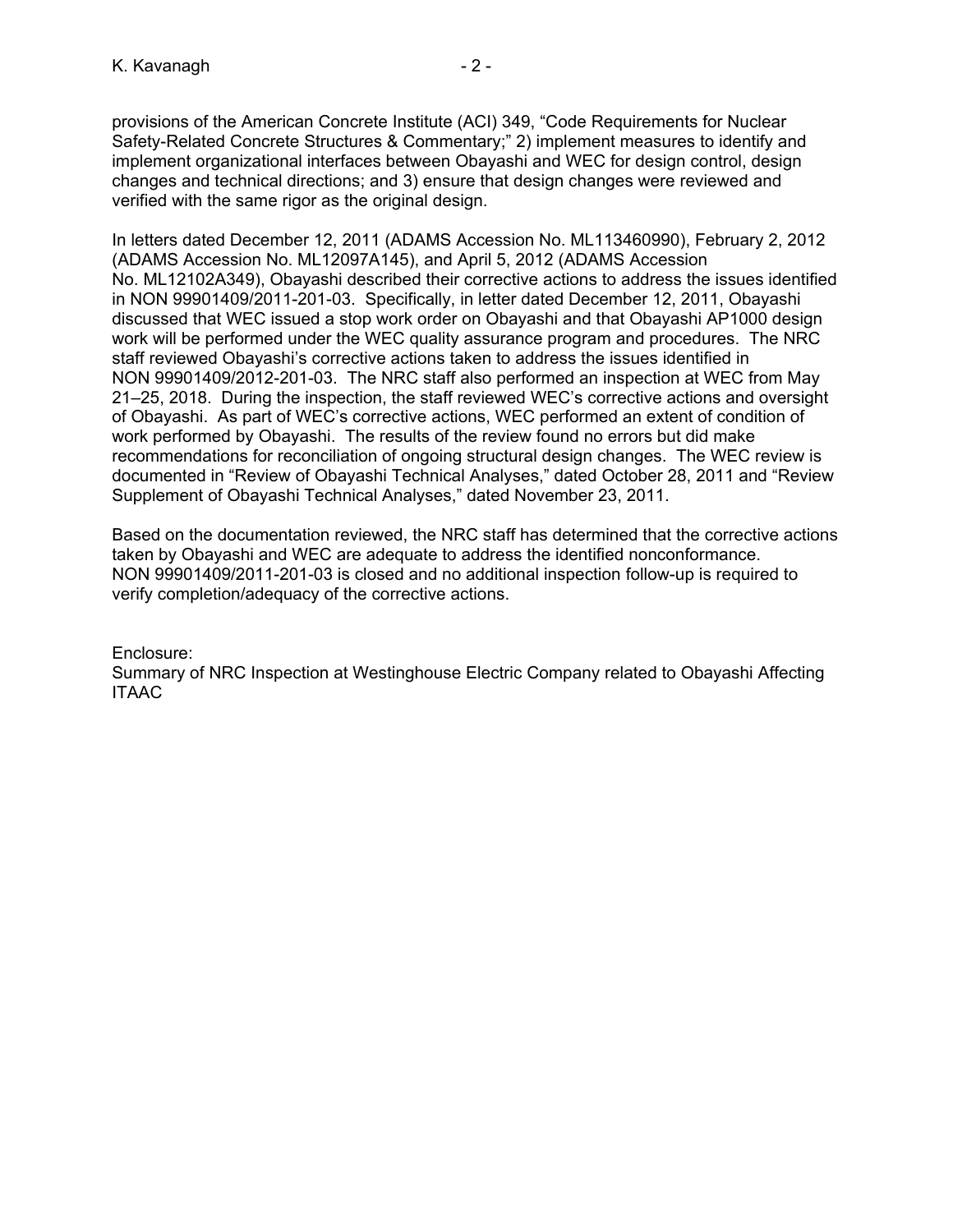provisions of the American Concrete Institute (ACI) 349, "Code Requirements for Nuclear Safety-Related Concrete Structures & Commentary;" 2) implement measures to identify and implement organizational interfaces between Obayashi and WEC for design control, design changes and technical directions; and 3) ensure that design changes were reviewed and verified with the same rigor as the original design.

In letters dated December 12, 2011 (ADAMS Accession No. ML113460990), February 2, 2012 (ADAMS Accession No. ML12097A145), and April 5, 2012 (ADAMS Accession No. ML12102A349), Obayashi described their corrective actions to address the issues identified in NON 99901409/2011-201-03. Specifically, in letter dated December 12, 2011, Obayashi discussed that WEC issued a stop work order on Obayashi and that Obayashi AP1000 design work will be performed under the WEC quality assurance program and procedures. The NRC staff reviewed Obayashi's corrective actions taken to address the issues identified in NON 99901409/2012-201-03. The NRC staff also performed an inspection at WEC from May 21–25, 2018. During the inspection, the staff reviewed WEC's corrective actions and oversight of Obayashi. As part of WEC's corrective actions, WEC performed an extent of condition of work performed by Obayashi. The results of the review found no errors but did make recommendations for reconciliation of ongoing structural design changes. The WEC review is documented in "Review of Obayashi Technical Analyses," dated October 28, 2011 and "Review Supplement of Obayashi Technical Analyses," dated November 23, 2011.

Based on the documentation reviewed, the NRC staff has determined that the corrective actions taken by Obayashi and WEC are adequate to address the identified nonconformance. NON 99901409/2011-201-03 is closed and no additional inspection follow-up is required to verify completion/adequacy of the corrective actions.

Enclosure: Summary of NRC Inspection at Westinghouse Electric Company related to Obayashi Affecting ITAAC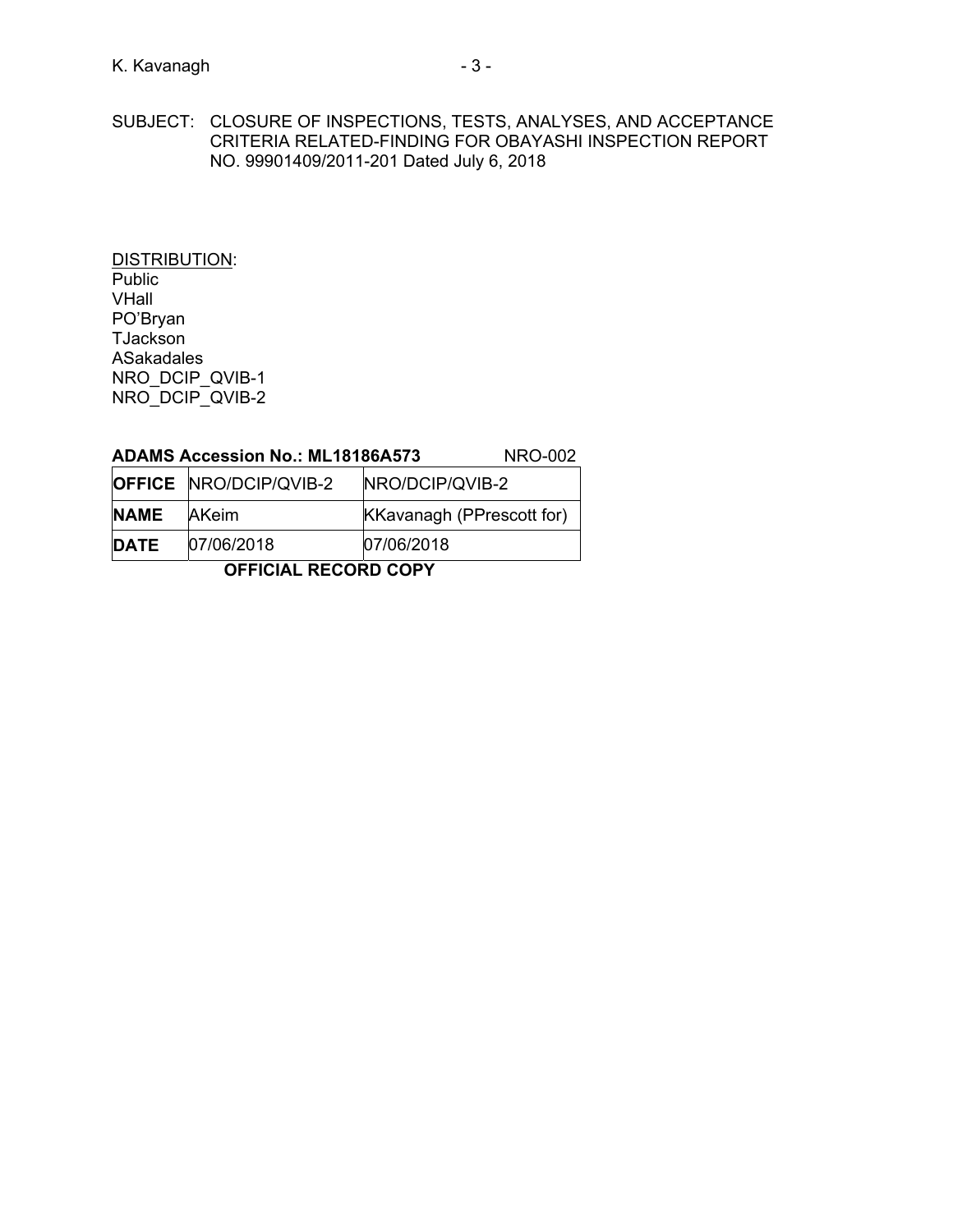DISTRIBUTION: Public VHall PO'Bryan **TJackson** ASakadales NRO\_DCIP\_QVIB-1 NRO\_DCIP\_QVIB-2

# **ADAMS Accession No.: ML18186A573** NRO-002

|             | <b>OFFICE NRO/DCIP/QVIB-2</b> | NRO/DCIP/QVIB-2                  |
|-------------|-------------------------------|----------------------------------|
| <b>NAME</b> | <b>IAKeim</b>                 | <b>KKavanagh (PPrescott for)</b> |
| <b>DATE</b> | 07/06/2018                    | 07/06/2018                       |

**OFFICIAL RECORD COPY**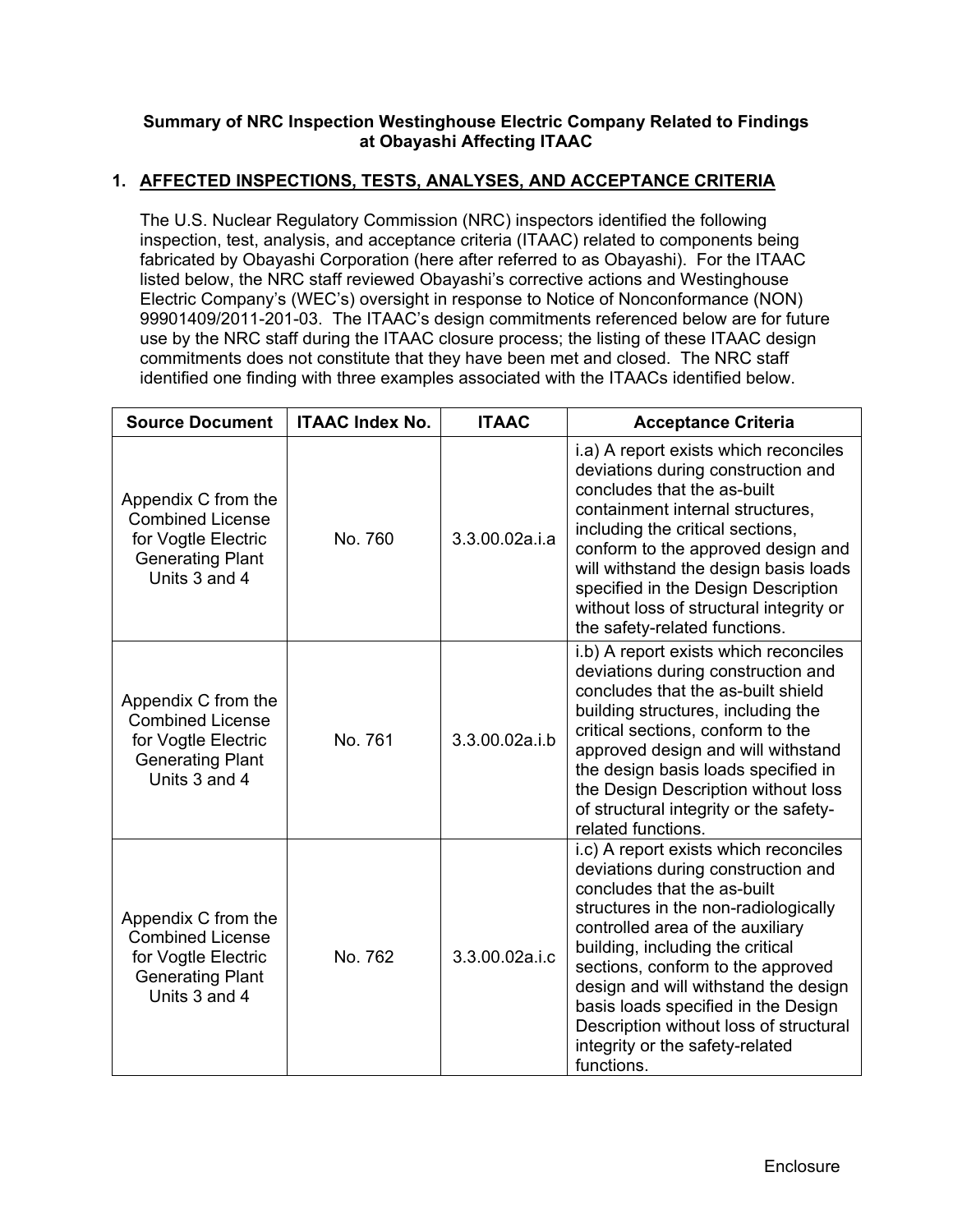### **Summary of NRC Inspection Westinghouse Electric Company Related to Findings at Obayashi Affecting ITAAC**

### **1. AFFECTED INSPECTIONS, TESTS, ANALYSES, AND ACCEPTANCE CRITERIA**

The U.S. Nuclear Regulatory Commission (NRC) inspectors identified the following inspection, test, analysis, and acceptance criteria (ITAAC) related to components being fabricated by Obayashi Corporation (here after referred to as Obayashi). For the ITAAC listed below, the NRC staff reviewed Obayashi's corrective actions and Westinghouse Electric Company's (WEC's) oversight in response to Notice of Nonconformance (NON) 99901409/2011-201-03. The ITAAC's design commitments referenced below are for future use by the NRC staff during the ITAAC closure process; the listing of these ITAAC design commitments does not constitute that they have been met and closed. The NRC staff identified one finding with three examples associated with the ITAACs identified below.

| <b>Source Document</b>                                                                                            | <b>ITAAC Index No.</b> | <b>ITAAC</b>   | <b>Acceptance Criteria</b>                                                                                                                                                                                                                                                                                                                                                                                                                |
|-------------------------------------------------------------------------------------------------------------------|------------------------|----------------|-------------------------------------------------------------------------------------------------------------------------------------------------------------------------------------------------------------------------------------------------------------------------------------------------------------------------------------------------------------------------------------------------------------------------------------------|
| Appendix C from the<br><b>Combined License</b><br>for Vogtle Electric<br><b>Generating Plant</b><br>Units 3 and 4 | No. 760                | 3.3.00.02a.i.a | i.a) A report exists which reconciles<br>deviations during construction and<br>concludes that the as-built<br>containment internal structures,<br>including the critical sections,<br>conform to the approved design and<br>will withstand the design basis loads<br>specified in the Design Description<br>without loss of structural integrity or<br>the safety-related functions.                                                      |
| Appendix C from the<br><b>Combined License</b><br>for Vogtle Electric<br><b>Generating Plant</b><br>Units 3 and 4 | No. 761                | 3.3.00.02a.i.b | i.b) A report exists which reconciles<br>deviations during construction and<br>concludes that the as-built shield<br>building structures, including the<br>critical sections, conform to the<br>approved design and will withstand<br>the design basis loads specified in<br>the Design Description without loss<br>of structural integrity or the safety-<br>related functions.                                                          |
| Appendix C from the<br><b>Combined License</b><br>for Vogtle Electric<br><b>Generating Plant</b><br>Units 3 and 4 | No. 762                | 3.3.00.02a.i.c | i.c) A report exists which reconciles<br>deviations during construction and<br>concludes that the as-built<br>structures in the non-radiologically<br>controlled area of the auxiliary<br>building, including the critical<br>sections, conform to the approved<br>design and will withstand the design<br>basis loads specified in the Design<br>Description without loss of structural<br>integrity or the safety-related<br>functions. |